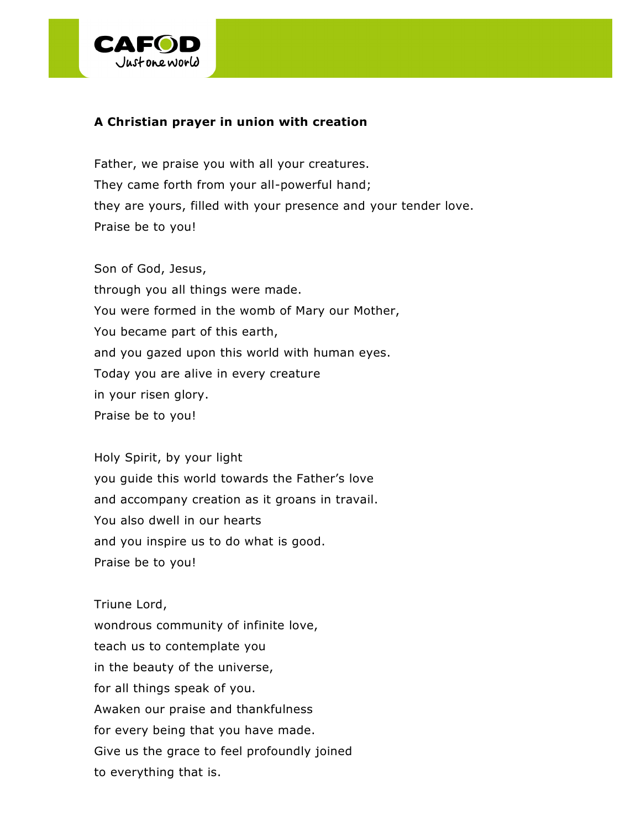

## **A Christian prayer in union with creation**

Father, we praise you with all your creatures. They came forth from your all-powerful hand; they are yours, filled with your presence and your tender love. Praise be to you!

Son of God, Jesus, through you all things were made. You were formed in the womb of Mary our Mother, You became part of this earth, and you gazed upon this world with human eyes. Today you are alive in every creature in your risen glory. Praise be to you!

Holy Spirit, by your light you guide this world towards the Father's love and accompany creation as it groans in travail. You also dwell in our hearts and you inspire us to do what is good. Praise be to you!

Triune Lord, wondrous community of infinite love, teach us to contemplate you in the beauty of the universe, for all things speak of you. Awaken our praise and thankfulness for every being that you have made. Give us the grace to feel profoundly joined to everything that is.